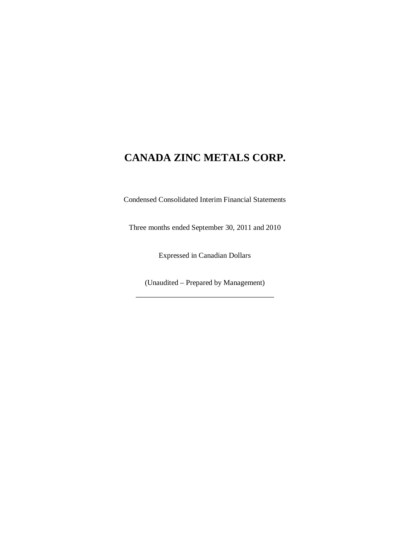Condensed Consolidated Interim Financial Statements

Three months ended September 30, 2011 and 2010

Expressed in Canadian Dollars

(Unaudited – Prepared by Management) \_\_\_\_\_\_\_\_\_\_\_\_\_\_\_\_\_\_\_\_\_\_\_\_\_\_\_\_\_\_\_\_\_\_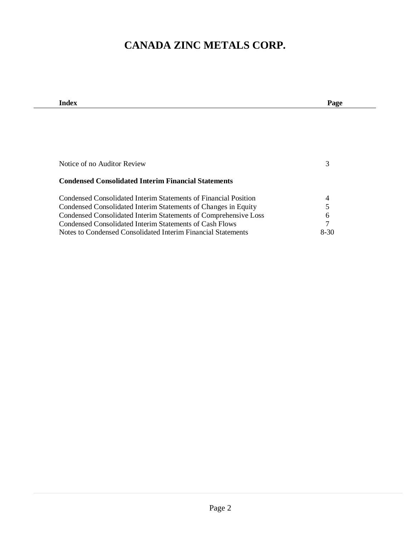| Index                                                           | Page          |
|-----------------------------------------------------------------|---------------|
|                                                                 |               |
|                                                                 |               |
|                                                                 |               |
|                                                                 |               |
|                                                                 |               |
| Notice of no Auditor Review                                     | 3             |
|                                                                 |               |
| <b>Condensed Consolidated Interim Financial Statements</b>      |               |
|                                                                 |               |
| Condensed Consolidated Interim Statements of Financial Position | 4             |
| Condensed Consolidated Interim Statements of Changes in Equity  | 5             |
| Condensed Consolidated Interim Statements of Comprehensive Loss | 6             |
| Condensed Consolidated Interim Statements of Cash Flows         | $\mathcal{I}$ |
| Notes to Condensed Consolidated Interim Financial Statements    | 8-30          |
|                                                                 |               |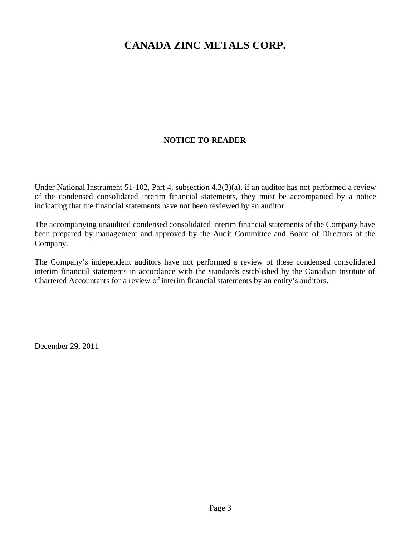## **NOTICE TO READER**

Under National Instrument 51-102, Part 4, subsection 4.3(3)(a), if an auditor has not performed a review of the condensed consolidated interim financial statements, they must be accompanied by a notice indicating that the financial statements have not been reviewed by an auditor.

The accompanying unaudited condensed consolidated interim financial statements of the Company have been prepared by management and approved by the Audit Committee and Board of Directors of the Company.

The Company's independent auditors have not performed a review of these condensed consolidated interim financial statements in accordance with the standards established by the Canadian Institute of Chartered Accountants for a review of interim financial statements by an entity's auditors.

December 29, 2011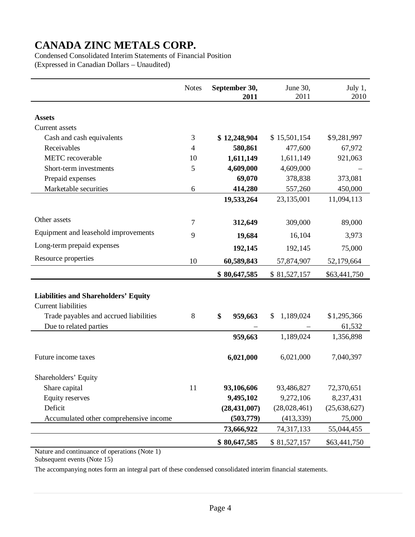Condensed Consolidated Interim Statements of Financial Position (Expressed in Canadian Dollars – Unaudited)

|                                             | <b>Notes</b>   | September 30,<br>2011 | June 30,<br>2011 | July 1,<br>2010 |
|---------------------------------------------|----------------|-----------------------|------------------|-----------------|
|                                             |                |                       |                  |                 |
| <b>Assets</b>                               |                |                       |                  |                 |
| Current assets                              |                |                       |                  |                 |
| Cash and cash equivalents                   | 3              | \$12,248,904          | \$15,501,154     | \$9,281,997     |
| Receivables                                 | $\overline{4}$ | 580,861               | 477,600          | 67,972          |
| <b>METC</b> recoverable                     | 10             | 1,611,149             | 1,611,149        | 921,063         |
| Short-term investments                      | 5              | 4,609,000             | 4,609,000        |                 |
| Prepaid expenses                            |                | 69,070                | 378,838          | 373,081         |
| Marketable securities                       | 6              | 414,280               | 557,260          | 450,000         |
|                                             |                | 19,533,264            | 23,135,001       | 11,094,113      |
|                                             |                |                       |                  |                 |
| Other assets                                | 7              | 312,649               | 309,000          | 89,000          |
| Equipment and leasehold improvements        | 9              | 19,684                | 16,104           | 3,973           |
| Long-term prepaid expenses                  |                | 192,145               | 192,145          | 75,000          |
| Resource properties                         | 10             | 60,589,843            | 57,874,907       | 52,179,664      |
|                                             |                | \$80,647,585          | \$81,527,157     | \$63,441,750    |
|                                             |                |                       |                  |                 |
| <b>Liabilities and Shareholders' Equity</b> |                |                       |                  |                 |
| <b>Current liabilities</b>                  |                |                       |                  |                 |
| Trade payables and accrued liabilities      | 8              | \$<br>959,663         | 1,189,024<br>\$  | \$1,295,366     |
| Due to related parties                      |                |                       |                  | 61,532          |
|                                             |                | 959,663               | 1,189,024        | 1,356,898       |
| Future income taxes                         |                | 6,021,000             | 6,021,000        | 7,040,397       |
| Shareholders' Equity                        |                |                       |                  |                 |
| Share capital                               | 11             | 93,106,606            | 93,486,827       | 72,370,651      |
| <b>Equity reserves</b>                      |                | 9,495,102             | 9,272,106        | 8,237,431       |
| Deficit                                     |                | (28, 431, 007)        | (28,028,461)     | (25, 638, 627)  |
| Accumulated other comprehensive income      |                | (503, 779)            | (413, 339)       | 75,000          |
|                                             |                | 73,666,922            | 74,317,133       | 55,044,455      |
|                                             |                | \$80,647,585          | \$81,527,157     | \$63,441,750    |

Nature and continuance of operations (Note 1)

Subsequent events (Note 15)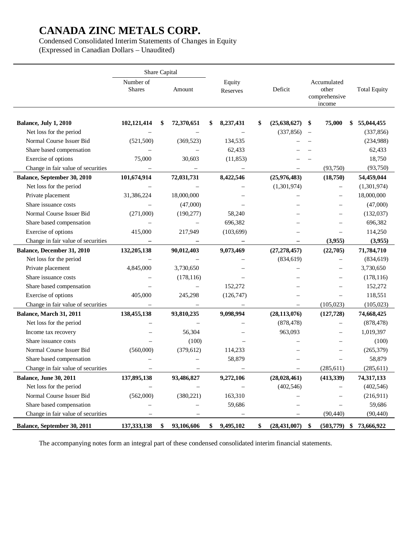Condensed Consolidated Interim Statements of Changes in Equity

(Expressed in Canadian Dollars – Unaudited)

|                                    | Share Capital              |                  |   |                    |                           |                          |                                                 |                     |
|------------------------------------|----------------------------|------------------|---|--------------------|---------------------------|--------------------------|-------------------------------------------------|---------------------|
|                                    | Number of<br><b>Shares</b> | Amount           |   | Equity<br>Reserves | Deficit                   |                          | Accumulated<br>other<br>comprehensive<br>income | <b>Total Equity</b> |
| Balance, July 1, 2010              | 102,121,414                | \$<br>72,370,651 | S | 8,237,431          | \$<br>(25, 638, 627)      | \$                       | 75,000                                          | \$<br>55,044,455    |
| Net loss for the period            |                            |                  |   |                    | (337, 856)                | $\overline{\phantom{m}}$ |                                                 | (337, 856)          |
| Normal Course Issuer Bid           | (521, 500)                 | (369, 523)       |   | 134,535            |                           |                          |                                                 | (234,988)           |
| Share based compensation           |                            |                  |   | 62,433             |                           |                          |                                                 | 62,433              |
| Exercise of options                | 75,000                     | 30,603           |   | (11, 853)          |                           |                          |                                                 | 18,750              |
| Change in fair value of securities |                            |                  |   |                    |                           |                          | (93,750)                                        | (93,750)            |
| Balance, September 30, 2010        | 101,674,914                | 72,031,731       |   | 8,422,546          | (25,976,483)              |                          | (18,750)                                        | 54,459,044          |
| Net loss for the period            |                            |                  |   |                    | (1,301,974)               |                          | $\overline{\phantom{0}}$                        | (1,301,974)         |
| Private placement                  | 31,386,224                 | 18,000,000       |   |                    |                           |                          |                                                 | 18,000,000          |
| Share issuance costs               |                            | (47,000)         |   |                    |                           |                          |                                                 | (47,000)            |
| Normal Course Issuer Bid           | (271,000)                  | (190, 277)       |   | 58,240             |                           |                          |                                                 | (132,037)           |
| Share based compensation           |                            |                  |   | 696,382            |                           |                          |                                                 | 696,382             |
| Exercise of options                | 415,000                    | 217,949          |   | (103, 699)         |                           |                          |                                                 | 114,250             |
| Change in fair value of securities |                            |                  |   |                    |                           |                          | (3,955)                                         | (3,955)             |
| Balance, December 31, 2010         | 132,205,138                | 90,012,403       |   | 9,073,469          | (27, 278, 457)            |                          | (22,705)                                        | 71,784,710          |
| Net loss for the period            |                            |                  |   |                    | (834, 619)                |                          |                                                 | (834, 619)          |
| Private placement                  | 4,845,000                  | 3,730,650        |   |                    |                           |                          |                                                 | 3,730,650           |
| Share issuance costs               |                            | (178, 116)       |   |                    |                           |                          |                                                 | (178, 116)          |
| Share based compensation           |                            |                  |   | 152,272            |                           |                          |                                                 | 152,272             |
| Exercise of options                | 405,000                    | 245,298          |   | (126, 747)         |                           |                          |                                                 | 118,551             |
| Change in fair value of securities |                            |                  |   |                    |                           |                          | (105, 023)                                      | (105, 023)          |
| Balance, March 31, 2011            | 138,455,138                | 93,810,235       |   | 9,098,994          | (28, 113, 076)            |                          | (127, 728)                                      | 74,668,425          |
| Net loss for the period            |                            |                  |   |                    | (878, 478)                |                          |                                                 | (878, 478)          |
| Income tax recovery                |                            | 56,304           |   |                    | 963,093                   |                          |                                                 | 1,019,397           |
| Share issuance costs               |                            | (100)            |   |                    |                           |                          |                                                 | (100)               |
| Normal Course Issuer Bid           | (560,000)                  | (379, 612)       |   | 114,233            |                           |                          |                                                 | (265, 379)          |
| Share based compensation           |                            |                  |   | 58,879             |                           |                          |                                                 | 58,879              |
| Change in fair value of securities |                            |                  |   |                    |                           |                          | (285, 611)                                      | (285, 611)          |
| <b>Balance, June 30, 2011</b>      | 137,895,138                | 93,486,827       |   | 9,272,106          | (28,028,461)              |                          | (413, 339)                                      | 74,317,133          |
| Net loss for the period            |                            |                  |   |                    | (402, 546)                |                          |                                                 | (402, 546)          |
| Normal Course Issuer Bid           | (562,000)                  | (380, 221)       |   | 163,310            |                           |                          |                                                 | (216,911)           |
| Share based compensation           |                            |                  |   | 59,686             |                           |                          |                                                 | 59,686              |
| Change in fair value of securities |                            |                  |   |                    |                           |                          | (90, 440)                                       | (90, 440)           |
| Balance, September 30, 2011        | 137, 333, 138              | \$<br>93,106,606 |   | 9,495,102          | \$<br>$(28, 431, 007)$ \$ |                          | $(503,779)$ \$                                  | 73,666,922          |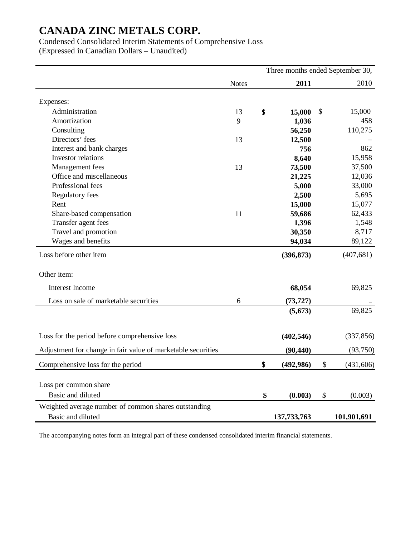Condensed Consolidated Interim Statements of Comprehensive Loss

(Expressed in Canadian Dollars – Unaudited)

|                                                              | Three months ended September 30, |    |               |    |             |  |
|--------------------------------------------------------------|----------------------------------|----|---------------|----|-------------|--|
|                                                              | <b>Notes</b>                     |    | 2011          |    | 2010        |  |
| Expenses:                                                    |                                  |    |               |    |             |  |
| Administration                                               | 13                               | \$ | 15,000        | \$ | 15,000      |  |
| Amortization                                                 | 9                                |    | 1,036         |    | 458         |  |
| Consulting                                                   |                                  |    | 56,250        |    | 110,275     |  |
| Directors' fees                                              | 13                               |    | 12,500        |    |             |  |
| Interest and bank charges                                    |                                  |    | 756           |    | 862         |  |
| Investor relations                                           |                                  |    | 8,640         |    | 15,958      |  |
| Management fees                                              | 13                               |    | 73,500        |    | 37,500      |  |
| Office and miscellaneous                                     |                                  |    | 21,225        |    | 12,036      |  |
| Professional fees                                            |                                  |    | 5,000         |    | 33,000      |  |
| Regulatory fees                                              |                                  |    | 2,500         |    | 5,695       |  |
| Rent                                                         |                                  |    | 15,000        |    | 15,077      |  |
| Share-based compensation                                     | 11                               |    | 59,686        |    | 62,433      |  |
| Transfer agent fees                                          |                                  |    | 1,396         |    | 1,548       |  |
| Travel and promotion                                         |                                  |    | 30,350        |    | 8,717       |  |
| Wages and benefits                                           |                                  |    | 94,034        |    | 89,122      |  |
| Loss before other item                                       |                                  |    | (396, 873)    |    | (407, 681)  |  |
| Other item:                                                  |                                  |    |               |    |             |  |
| Interest Income                                              |                                  |    | 68,054        |    | 69,825      |  |
| Loss on sale of marketable securities                        | 6                                |    | (73, 727)     |    |             |  |
|                                                              |                                  |    | (5, 673)      |    | 69,825      |  |
|                                                              |                                  |    |               |    |             |  |
| Loss for the period before comprehensive loss                |                                  |    | (402, 546)    |    | (337, 856)  |  |
|                                                              |                                  |    |               |    |             |  |
| Adjustment for change in fair value of marketable securities |                                  |    | (90, 440)     |    | (93,750)    |  |
| Comprehensive loss for the period                            |                                  | \$ | (492, 986)    | \$ | (431,606)   |  |
| Loss per common share                                        |                                  |    |               |    |             |  |
| Basic and diluted                                            |                                  | \$ | (0.003)       | \$ | (0.003)     |  |
| Weighted average number of common shares outstanding         |                                  |    |               |    |             |  |
| Basic and diluted                                            |                                  |    | 137, 733, 763 |    | 101,901,691 |  |
|                                                              |                                  |    |               |    |             |  |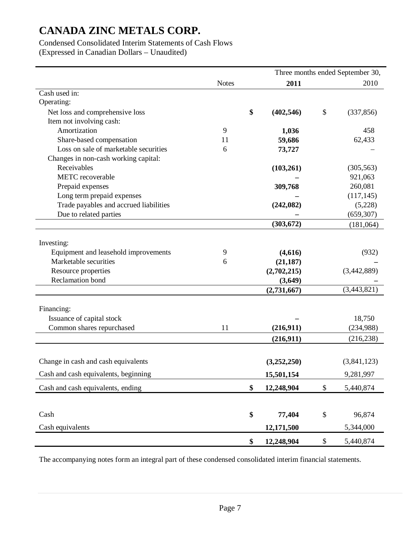## Condensed Consolidated Interim Statements of Cash Flows

(Expressed in Canadian Dollars – Unaudited)

|                                        | Three months ended September 30, |    |             |    |             |
|----------------------------------------|----------------------------------|----|-------------|----|-------------|
|                                        | <b>Notes</b>                     |    | 2011        |    | 2010        |
| Cash used in:                          |                                  |    |             |    |             |
| Operating:                             |                                  |    |             |    |             |
| Net loss and comprehensive loss        |                                  | \$ | (402, 546)  | \$ | (337, 856)  |
| Item not involving cash:               |                                  |    |             |    |             |
| Amortization                           | 9                                |    | 1,036       |    | 458         |
| Share-based compensation               | 11                               |    | 59,686      |    | 62,433      |
| Loss on sale of marketable securities  | 6                                |    | 73,727      |    |             |
| Changes in non-cash working capital:   |                                  |    |             |    |             |
| Receivables                            |                                  |    | (103, 261)  |    | (305, 563)  |
| <b>METC</b> recoverable                |                                  |    |             |    | 921,063     |
| Prepaid expenses                       |                                  |    | 309,768     |    | 260,081     |
| Long term prepaid expenses             |                                  |    |             |    | (117, 145)  |
| Trade payables and accrued liabilities |                                  |    | (242, 082)  |    | (5,228)     |
| Due to related parties                 |                                  |    |             |    | (659, 307)  |
|                                        |                                  |    | (303, 672)  |    | (181,064)   |
|                                        |                                  |    |             |    |             |
| Investing:                             |                                  |    |             |    |             |
| Equipment and leasehold improvements   | 9                                |    | (4,616)     |    | (932)       |
| Marketable securities                  | 6                                |    | (21, 187)   |    |             |
| Resource properties                    |                                  |    | (2,702,215) |    | (3,442,889) |
| Reclamation bond                       |                                  |    | (3,649)     |    |             |
|                                        |                                  |    | (2,731,667) |    | (3,443,821) |
|                                        |                                  |    |             |    |             |
| Financing:                             |                                  |    |             |    |             |
| Issuance of capital stock              |                                  |    |             |    | 18,750      |
| Common shares repurchased              | 11                               |    | (216,911)   |    | (234,988)   |
|                                        |                                  |    | (216,911)   |    | (216, 238)  |
|                                        |                                  |    |             |    |             |
| Change in cash and cash equivalents    |                                  |    | (3,252,250) |    | (3,841,123) |
| Cash and cash equivalents, beginning   |                                  |    | 15,501,154  |    | 9,281,997   |
| Cash and cash equivalents, ending      |                                  | \$ | 12,248,904  | \$ | 5,440,874   |
|                                        |                                  |    |             |    |             |
| Cash                                   |                                  | \$ | 77,404      | \$ | 96,874      |
| Cash equivalents                       |                                  |    | 12,171,500  |    | 5,344,000   |
|                                        |                                  | \$ | 12,248,904  | \$ | 5,440,874   |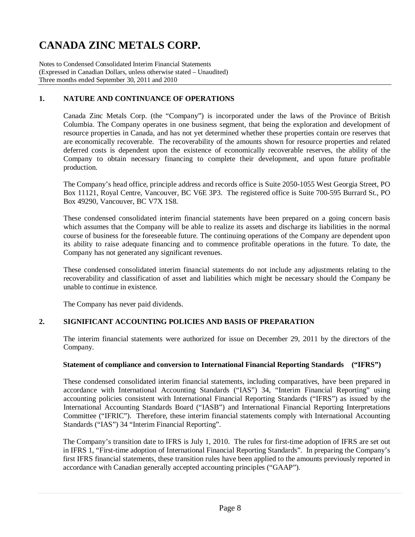Notes to Condensed Consolidated Interim Financial Statements (Expressed in Canadian Dollars, unless otherwise stated – Unaudited) Three months ended September 30, 2011 and 2010

## **1. NATURE AND CONTINUANCE OF OPERATIONS**

Canada Zinc Metals Corp. (the "Company") is incorporated under the laws of the Province of British Columbia. The Company operates in one business segment, that being the exploration and development of resource properties in Canada, and has not yet determined whether these properties contain ore reserves that are economically recoverable. The recoverability of the amounts shown for resource properties and related deferred costs is dependent upon the existence of economically recoverable reserves, the ability of the Company to obtain necessary financing to complete their development, and upon future profitable production.

The Company's head office, principle address and records office is Suite 2050-1055 West Georgia Street, PO Box 11121, Royal Centre, Vancouver, BC V6E 3P3. The registered office is Suite 700-595 Burrard St., PO Box 49290, Vancouver, BC V7X 1S8.

These condensed consolidated interim financial statements have been prepared on a going concern basis which assumes that the Company will be able to realize its assets and discharge its liabilities in the normal course of business for the foreseeable future. The continuing operations of the Company are dependent upon its ability to raise adequate financing and to commence profitable operations in the future. To date, the Company has not generated any significant revenues.

These condensed consolidated interim financial statements do not include any adjustments relating to the recoverability and classification of asset and liabilities which might be necessary should the Company be unable to continue in existence.

The Company has never paid dividends.

### **2. SIGNIFICANT ACCOUNTING POLICIES AND BASIS OF PREPARATION**

The interim financial statements were authorized for issue on December 29, 2011 by the directors of the Company.

### **Statement of compliance and conversion to International Financial Reporting Standards ("IFRS")**

These condensed consolidated interim financial statements, including comparatives, have been prepared in accordance with International Accounting Standards ("IAS") 34, "Interim Financial Reporting" using accounting policies consistent with International Financial Reporting Standards ("IFRS") as issued by the International Accounting Standards Board ("IASB") and International Financial Reporting Interpretations Committee ("IFRIC"). Therefore, these interim financial statements comply with International Accounting Standards ("IAS") 34 "Interim Financial Reporting".

The Company's transition date to IFRS is July 1, 2010. The rules for first-time adoption of IFRS are set out in IFRS 1, "First-time adoption of International Financial Reporting Standards". In preparing the Company's first IFRS financial statements, these transition rules have been applied to the amounts previously reported in accordance with Canadian generally accepted accounting principles ("GAAP").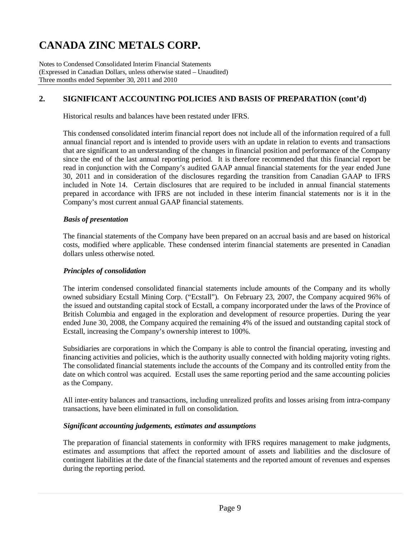Notes to Condensed Consolidated Interim Financial Statements (Expressed in Canadian Dollars, unless otherwise stated – Unaudited) Three months ended September 30, 2011 and 2010

## **2. SIGNIFICANT ACCOUNTING POLICIES AND BASIS OF PREPARATION (cont'd)**

Historical results and balances have been restated under IFRS.

This condensed consolidated interim financial report does not include all of the information required of a full annual financial report and is intended to provide users with an update in relation to events and transactions that are significant to an understanding of the changes in financial position and performance of the Company since the end of the last annual reporting period. It is therefore recommended that this financial report be read in conjunction with the Company's audited GAAP annual financial statements for the year ended June 30, 2011 and in consideration of the disclosures regarding the transition from Canadian GAAP to IFRS included in Note 14. Certain disclosures that are required to be included in annual financial statements prepared in accordance with IFRS are not included in these interim financial statements nor is it in the Company's most current annual GAAP financial statements.

### *Basis of presentation*

The financial statements of the Company have been prepared on an accrual basis and are based on historical costs, modified where applicable. These condensed interim financial statements are presented in Canadian dollars unless otherwise noted.

### *Principles of consolidation*

The interim condensed consolidated financial statements include amounts of the Company and its wholly owned subsidiary Ecstall Mining Corp. ("Ecstall"). On February 23, 2007, the Company acquired 96% of the issued and outstanding capital stock of Ecstall, a company incorporated under the laws of the Province of British Columbia and engaged in the exploration and development of resource properties. During the year ended June 30, 2008, the Company acquired the remaining 4% of the issued and outstanding capital stock of Ecstall, increasing the Company's ownership interest to 100%.

Subsidiaries are corporations in which the Company is able to control the financial operating, investing and financing activities and policies, which is the authority usually connected with holding majority voting rights. The consolidated financial statements include the accounts of the Company and its controlled entity from the date on which control was acquired. Ecstall uses the same reporting period and the same accounting policies as the Company.

All inter-entity balances and transactions, including unrealized profits and losses arising from intra-company transactions, have been eliminated in full on consolidation.

### *Significant accounting judgements, estimates and assumptions*

The preparation of financial statements in conformity with IFRS requires management to make judgments, estimates and assumptions that affect the reported amount of assets and liabilities and the disclosure of contingent liabilities at the date of the financial statements and the reported amount of revenues and expenses during the reporting period.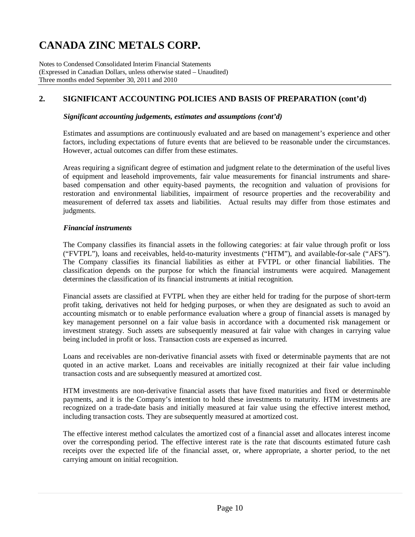Notes to Condensed Consolidated Interim Financial Statements (Expressed in Canadian Dollars, unless otherwise stated – Unaudited) Three months ended September 30, 2011 and 2010

## **2. SIGNIFICANT ACCOUNTING POLICIES AND BASIS OF PREPARATION (cont'd)**

### *Significant accounting judgements, estimates and assumptions (cont'd)*

Estimates and assumptions are continuously evaluated and are based on management's experience and other factors, including expectations of future events that are believed to be reasonable under the circumstances. However, actual outcomes can differ from these estimates.

Areas requiring a significant degree of estimation and judgment relate to the determination of the useful lives of equipment and leasehold improvements, fair value measurements for financial instruments and sharebased compensation and other equity-based payments, the recognition and valuation of provisions for restoration and environmental liabilities, impairment of resource properties and the recoverability and measurement of deferred tax assets and liabilities. Actual results may differ from those estimates and judgments.

### *Financial instruments*

The Company classifies its financial assets in the following categories: at fair value through profit or loss ("FVTPL"), loans and receivables, held-to-maturity investments ("HTM"), and available-for-sale ("AFS"). The Company classifies its financial liabilities as either at FVTPL or other financial liabilities. The classification depends on the purpose for which the financial instruments were acquired. Management determines the classification of its financial instruments at initial recognition.

Financial assets are classified at FVTPL when they are either held for trading for the purpose of short-term profit taking, derivatives not held for hedging purposes, or when they are designated as such to avoid an accounting mismatch or to enable performance evaluation where a group of financial assets is managed by key management personnel on a fair value basis in accordance with a documented risk management or investment strategy. Such assets are subsequently measured at fair value with changes in carrying value being included in profit or loss. Transaction costs are expensed as incurred.

Loans and receivables are non-derivative financial assets with fixed or determinable payments that are not quoted in an active market. Loans and receivables are initially recognized at their fair value including transaction costs and are subsequently measured at amortized cost.

HTM investments are non-derivative financial assets that have fixed maturities and fixed or determinable payments, and it is the Company's intention to hold these investments to maturity. HTM investments are recognized on a trade-date basis and initially measured at fair value using the effective interest method, including transaction costs. They are subsequently measured at amortized cost.

The effective interest method calculates the amortized cost of a financial asset and allocates interest income over the corresponding period. The effective interest rate is the rate that discounts estimated future cash receipts over the expected life of the financial asset, or, where appropriate, a shorter period, to the net carrying amount on initial recognition.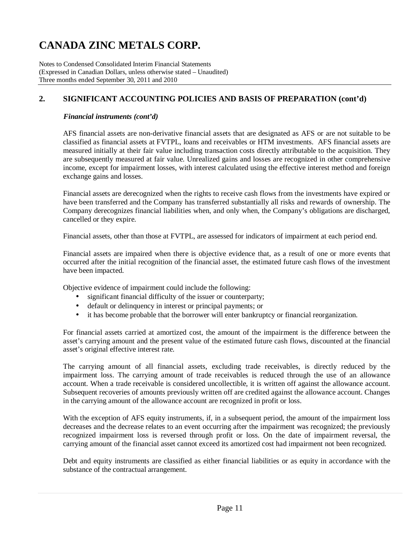Notes to Condensed Consolidated Interim Financial Statements (Expressed in Canadian Dollars, unless otherwise stated – Unaudited) Three months ended September 30, 2011 and 2010

## **2. SIGNIFICANT ACCOUNTING POLICIES AND BASIS OF PREPARATION (cont'd)**

### *Financial instruments (cont'd)*

AFS financial assets are non-derivative financial assets that are designated as AFS or are not suitable to be classified as financial assets at FVTPL, loans and receivables or HTM investments. AFS financial assets are measured initially at their fair value including transaction costs directly attributable to the acquisition. They are subsequently measured at fair value. Unrealized gains and losses are recognized in other comprehensive income, except for impairment losses, with interest calculated using the effective interest method and foreign exchange gains and losses.

Financial assets are derecognized when the rights to receive cash flows from the investments have expired or have been transferred and the Company has transferred substantially all risks and rewards of ownership. The Company derecognizes financial liabilities when, and only when, the Company's obligations are discharged, cancelled or they expire.

Financial assets, other than those at FVTPL, are assessed for indicators of impairment at each period end.

Financial assets are impaired when there is objective evidence that, as a result of one or more events that occurred after the initial recognition of the financial asset, the estimated future cash flows of the investment have been impacted.

Objective evidence of impairment could include the following:

- significant financial difficulty of the issuer or counterparty;
- default or delinquency in interest or principal payments; or
- it has become probable that the borrower will enter bankruptcy or financial reorganization.

For financial assets carried at amortized cost, the amount of the impairment is the difference between the asset's carrying amount and the present value of the estimated future cash flows, discounted at the financial asset's original effective interest rate.

The carrying amount of all financial assets, excluding trade receivables, is directly reduced by the impairment loss. The carrying amount of trade receivables is reduced through the use of an allowance account. When a trade receivable is considered uncollectible, it is written off against the allowance account. Subsequent recoveries of amounts previously written off are credited against the allowance account. Changes in the carrying amount of the allowance account are recognized in profit or loss.

With the exception of AFS equity instruments, if, in a subsequent period, the amount of the impairment loss decreases and the decrease relates to an event occurring after the impairment was recognized; the previously recognized impairment loss is reversed through profit or loss. On the date of impairment reversal, the carrying amount of the financial asset cannot exceed its amortized cost had impairment not been recognized.

Debt and equity instruments are classified as either financial liabilities or as equity in accordance with the substance of the contractual arrangement.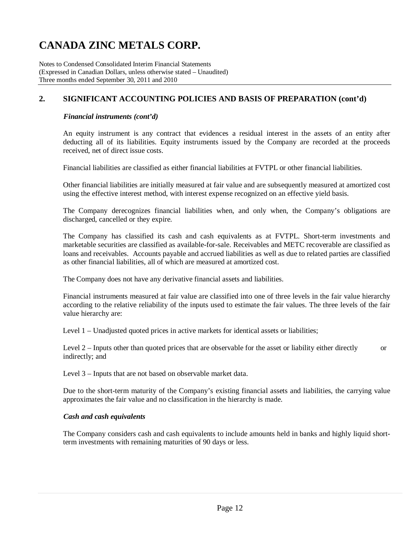Notes to Condensed Consolidated Interim Financial Statements (Expressed in Canadian Dollars, unless otherwise stated – Unaudited) Three months ended September 30, 2011 and 2010

## **2. SIGNIFICANT ACCOUNTING POLICIES AND BASIS OF PREPARATION (cont'd)**

### *Financial instruments (cont'd)*

An equity instrument is any contract that evidences a residual interest in the assets of an entity after deducting all of its liabilities. Equity instruments issued by the Company are recorded at the proceeds received, net of direct issue costs.

Financial liabilities are classified as either financial liabilities at FVTPL or other financial liabilities.

Other financial liabilities are initially measured at fair value and are subsequently measured at amortized cost using the effective interest method, with interest expense recognized on an effective yield basis.

The Company derecognizes financial liabilities when, and only when, the Company's obligations are discharged, cancelled or they expire.

The Company has classified its cash and cash equivalents as at FVTPL. Short-term investments and marketable securities are classified as available-for-sale. Receivables and METC recoverable are classified as loans and receivables. Accounts payable and accrued liabilities as well as due to related parties are classified as other financial liabilities, all of which are measured at amortized cost.

The Company does not have any derivative financial assets and liabilities.

Financial instruments measured at fair value are classified into one of three levels in the fair value hierarchy according to the relative reliability of the inputs used to estimate the fair values. The three levels of the fair value hierarchy are:

Level 1 – Unadjusted quoted prices in active markets for identical assets or liabilities;

Level 2 – Inputs other than quoted prices that are observable for the asset or liability either directly or indirectly; and

Level 3 – Inputs that are not based on observable market data.

Due to the short-term maturity of the Company's existing financial assets and liabilities, the carrying value approximates the fair value and no classification in the hierarchy is made.

### *Cash and cash equivalents*

The Company considers cash and cash equivalents to include amounts held in banks and highly liquid shortterm investments with remaining maturities of 90 days or less.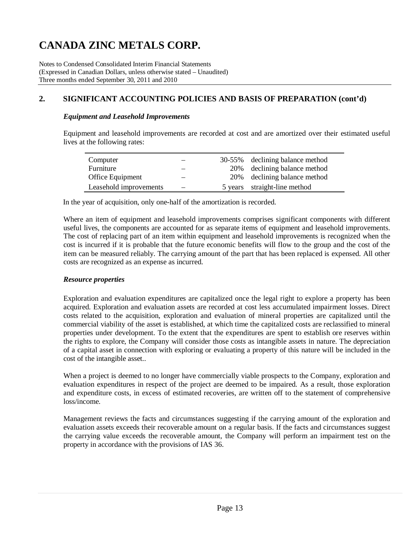Notes to Condensed Consolidated Interim Financial Statements (Expressed in Canadian Dollars, unless otherwise stated – Unaudited) Three months ended September 30, 2011 and 2010

## **2. SIGNIFICANT ACCOUNTING POLICIES AND BASIS OF PREPARATION (cont'd)**

### *Equipment and Leasehold Improvements*

Equipment and leasehold improvements are recorded at cost and are amortized over their estimated useful lives at the following rates:

| Computer               |  | 30-55% declining balance method |
|------------------------|--|---------------------------------|
| Furniture              |  | 20% declining balance method    |
| Office Equipment       |  | 20% declining balance method    |
| Leasehold improvements |  | 5 years straight-line method    |

In the year of acquisition, only one-half of the amortization is recorded.

Where an item of equipment and leasehold improvements comprises significant components with different useful lives, the components are accounted for as separate items of equipment and leasehold improvements. The cost of replacing part of an item within equipment and leasehold improvements is recognized when the cost is incurred if it is probable that the future economic benefits will flow to the group and the cost of the item can be measured reliably. The carrying amount of the part that has been replaced is expensed. All other costs are recognized as an expense as incurred.

### *Resource properties*

Exploration and evaluation expenditures are capitalized once the legal right to explore a property has been acquired. Exploration and evaluation assets are recorded at cost less accumulated impairment losses. Direct costs related to the acquisition, exploration and evaluation of mineral properties are capitalized until the commercial viability of the asset is established, at which time the capitalized costs are reclassified to mineral properties under development. To the extent that the expenditures are spent to establish ore reserves within the rights to explore, the Company will consider those costs as intangible assets in nature. The depreciation of a capital asset in connection with exploring or evaluating a property of this nature will be included in the cost of the intangible asset..

When a project is deemed to no longer have commercially viable prospects to the Company, exploration and evaluation expenditures in respect of the project are deemed to be impaired. As a result, those exploration and expenditure costs, in excess of estimated recoveries, are written off to the statement of comprehensive loss/income.

Management reviews the facts and circumstances suggesting if the carrying amount of the exploration and evaluation assets exceeds their recoverable amount on a regular basis. If the facts and circumstances suggest the carrying value exceeds the recoverable amount, the Company will perform an impairment test on the property in accordance with the provisions of IAS 36.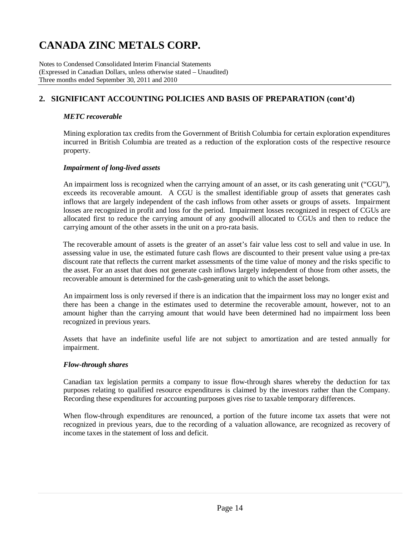Notes to Condensed Consolidated Interim Financial Statements (Expressed in Canadian Dollars, unless otherwise stated – Unaudited) Three months ended September 30, 2011 and 2010

## **2. SIGNIFICANT ACCOUNTING POLICIES AND BASIS OF PREPARATION (cont'd)**

### *METC recoverable*

Mining exploration tax credits from the Government of British Columbia for certain exploration expenditures incurred in British Columbia are treated as a reduction of the exploration costs of the respective resource property.

### *Impairment of long-lived assets*

An impairment loss is recognized when the carrying amount of an asset, or its cash generating unit ("CGU"), exceeds its recoverable amount. A CGU is the smallest identifiable group of assets that generates cash inflows that are largely independent of the cash inflows from other assets or groups of assets. Impairment losses are recognized in profit and loss for the period. Impairment losses recognized in respect of CGUs are allocated first to reduce the carrying amount of any goodwill allocated to CGUs and then to reduce the carrying amount of the other assets in the unit on a pro-rata basis.

The recoverable amount of assets is the greater of an asset's fair value less cost to sell and value in use. In assessing value in use, the estimated future cash flows are discounted to their present value using a pre-tax discount rate that reflects the current market assessments of the time value of money and the risks specific to the asset. For an asset that does not generate cash inflows largely independent of those from other assets, the recoverable amount is determined for the cash-generating unit to which the asset belongs.

An impairment loss is only reversed if there is an indication that the impairment loss may no longer exist and there has been a change in the estimates used to determine the recoverable amount, however, not to an amount higher than the carrying amount that would have been determined had no impairment loss been recognized in previous years.

Assets that have an indefinite useful life are not subject to amortization and are tested annually for impairment.

### *Flow-through shares*

Canadian tax legislation permits a company to issue flow-through shares whereby the deduction for tax purposes relating to qualified resource expenditures is claimed by the investors rather than the Company. Recording these expenditures for accounting purposes gives rise to taxable temporary differences.

When flow-through expenditures are renounced, a portion of the future income tax assets that were not recognized in previous years, due to the recording of a valuation allowance, are recognized as recovery of income taxes in the statement of loss and deficit.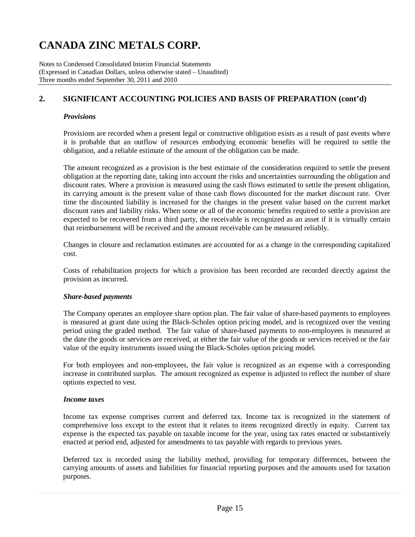Notes to Condensed Consolidated Interim Financial Statements (Expressed in Canadian Dollars, unless otherwise stated – Unaudited) Three months ended September 30, 2011 and 2010

## **2. SIGNIFICANT ACCOUNTING POLICIES AND BASIS OF PREPARATION (cont'd)**

### *Provisions*

Provisions are recorded when a present legal or constructive obligation exists as a result of past events where it is probable that an outflow of resources embodying economic benefits will be required to settle the obligation, and a reliable estimate of the amount of the obligation can be made.

The amount recognized as a provision is the best estimate of the consideration required to settle the present obligation at the reporting date, taking into account the risks and uncertainties surrounding the obligation and discount rates. Where a provision is measured using the cash flows estimated to settle the present obligation, its carrying amount is the present value of those cash flows discounted for the market discount rate. Over time the discounted liability is increased for the changes in the present value based on the current market discount rates and liability risks. When some or all of the economic benefits required to settle a provision are expected to be recovered from a third party, the receivable is recognized as an asset if it is virtually certain that reimbursement will be received and the amount receivable can be measured reliably.

Changes in closure and reclamation estimates are accounted for as a change in the corresponding capitalized cost.

Costs of rehabilitation projects for which a provision has been recorded are recorded directly against the provision as incurred.

### *Share-based payments*

The Company operates an employee share option plan. The fair value of share-based payments to employees is measured at grant date using the Black-Scholes option pricing model, and is recognized over the vesting period using the graded method. The fair value of share-based payments to non-employees is measured at the date the goods or services are received, at either the fair value of the goods or services received or the fair value of the equity instruments issued using the Black-Scholes option pricing model.

For both employees and non-employees, the fair value is recognized as an expense with a corresponding increase in contributed surplus. The amount recognized as expense is adjusted to reflect the number of share options expected to vest.

### *Income taxes*

Income tax expense comprises current and deferred tax. Income tax is recognized in the statement of comprehensive loss except to the extent that it relates to items recognized directly in equity. Current tax expense is the expected tax payable on taxable income for the year, using tax rates enacted or substantively enacted at period end, adjusted for amendments to tax payable with regards to previous years.

Deferred tax is recorded using the liability method, providing for temporary differences, between the carrying amounts of assets and liabilities for financial reporting purposes and the amounts used for taxation purposes.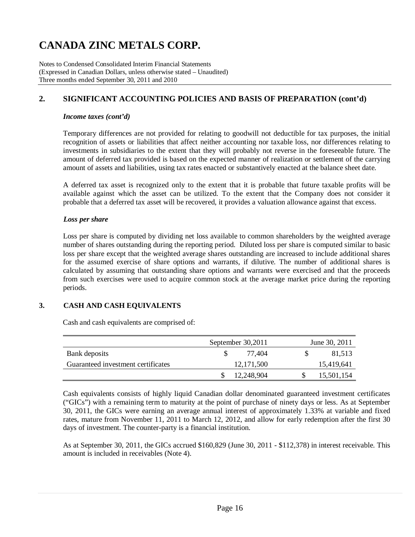Notes to Condensed Consolidated Interim Financial Statements (Expressed in Canadian Dollars, unless otherwise stated – Unaudited) Three months ended September 30, 2011 and 2010

## **2. SIGNIFICANT ACCOUNTING POLICIES AND BASIS OF PREPARATION (cont'd)**

### *Income taxes (cont'd)*

Temporary differences are not provided for relating to goodwill not deductible for tax purposes, the initial recognition of assets or liabilities that affect neither accounting nor taxable loss, nor differences relating to investments in subsidiaries to the extent that they will probably not reverse in the foreseeable future. The amount of deferred tax provided is based on the expected manner of realization or settlement of the carrying amount of assets and liabilities, using tax rates enacted or substantively enacted at the balance sheet date.

A deferred tax asset is recognized only to the extent that it is probable that future taxable profits will be available against which the asset can be utilized. To the extent that the Company does not consider it probable that a deferred tax asset will be recovered, it provides a valuation allowance against that excess.

### *Loss per share*

Loss per share is computed by dividing net loss available to common shareholders by the weighted average number of shares outstanding during the reporting period. Diluted loss per share is computed similar to basic loss per share except that the weighted average shares outstanding are increased to include additional shares for the assumed exercise of share options and warrants, if dilutive. The number of additional shares is calculated by assuming that outstanding share options and warrants were exercised and that the proceeds from such exercises were used to acquire common stock at the average market price during the reporting periods.

### **3. CASH AND CASH EQUIVALENTS**

Cash and cash equivalents are comprised of:

|                                    | September 30,2011 | June 30, 2011 |  |  |  |  |
|------------------------------------|-------------------|---------------|--|--|--|--|
| Bank deposits                      | 77.404            | 81.513        |  |  |  |  |
| Guaranteed investment certificates | 12, 171, 500      | 15,419,641    |  |  |  |  |
|                                    | 12,248,904        | 15,501,154    |  |  |  |  |

Cash equivalents consists of highly liquid Canadian dollar denominated guaranteed investment certificates ("GICs") with a remaining term to maturity at the point of purchase of ninety days or less. As at September 30, 2011, the GICs were earning an average annual interest of approximately 1.33% at variable and fixed rates, mature from November 11, 2011 to March 12, 2012, and allow for early redemption after the first 30 days of investment. The counter-party is a financial institution.

As at September 30, 2011, the GICs accrued \$160,829 (June 30, 2011 - \$112,378) in interest receivable. This amount is included in receivables (Note 4).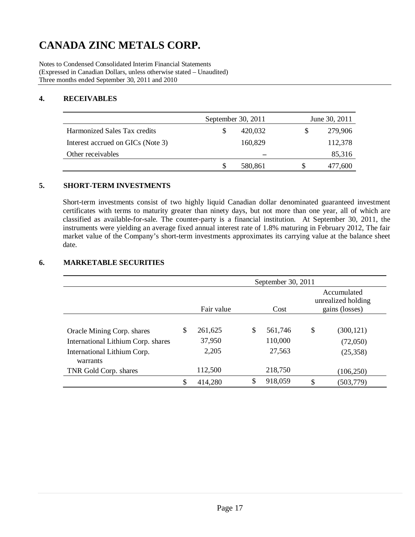Notes to Condensed Consolidated Interim Financial Statements (Expressed in Canadian Dollars, unless otherwise stated – Unaudited) Three months ended September 30, 2011 and 2010

### **4. RECEIVABLES**

|                                     | September 30, 2011 |   | June 30, 2011 |
|-------------------------------------|--------------------|---|---------------|
| <b>Harmonized Sales Tax credits</b> | 420,032            | S | 279,906       |
| Interest accrued on GICs (Note 3)   | 160,829            |   | 112,378       |
| Other receivables                   |                    |   | 85,316        |
|                                     | 580,861            |   | 477,600       |

### **5. SHORT-TERM INVESTMENTS**

Short-term investments consist of two highly liquid Canadian dollar denominated guaranteed investment certificates with terms to maturity greater than ninety days, but not more than one year, all of which are classified as available-for-sale. The counter-party is a financial institution. At September 30, 2011, the instruments were yielding an average fixed annual interest rate of 1.8% maturing in February 2012, The fair market value of the Company's short-term investments approximates its carrying value at the balance sheet date.

### **6. MARKETABLE SECURITIES**

|                                    | September 30, 2011 |                    |    |         |    |                                                     |  |  |
|------------------------------------|--------------------|--------------------|----|---------|----|-----------------------------------------------------|--|--|
|                                    |                    | Fair value<br>Cost |    |         |    | Accumulated<br>unrealized holding<br>gains (losses) |  |  |
|                                    |                    |                    |    |         |    |                                                     |  |  |
| Oracle Mining Corp. shares         | \$                 | 261,625            | \$ | 561.746 | \$ | (300, 121)                                          |  |  |
| International Lithium Corp. shares |                    | 37,950             |    | 110,000 |    | (72,050)                                            |  |  |
| International Lithium Corp.        |                    | 2,205              |    | 27,563  |    | (25,358)                                            |  |  |
| warrants                           |                    |                    |    |         |    |                                                     |  |  |
| TNR Gold Corp. shares              |                    | 112,500            |    | 218,750 |    | (106, 250)                                          |  |  |
|                                    | \$                 | 414,280            | \$ | 918,059 | \$ | (503, 779)                                          |  |  |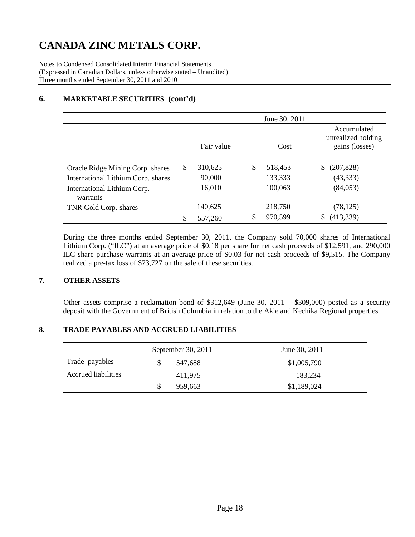Notes to Condensed Consolidated Interim Financial Statements (Expressed in Canadian Dollars, unless otherwise stated – Unaudited) Three months ended September 30, 2011 and 2010

## **6. MARKETABLE SECURITIES (cont'd)**

|                                    |    |                    |    | June 30, 2011 |                                                     |
|------------------------------------|----|--------------------|----|---------------|-----------------------------------------------------|
|                                    |    | Fair value<br>Cost |    |               | Accumulated<br>unrealized holding<br>gains (losses) |
|                                    |    |                    |    |               |                                                     |
| Oracle Ridge Mining Corp. shares   | S  | 310,625            | \$ | 518,453       | S<br>(207, 828)                                     |
| International Lithium Corp. shares |    | 90,000             |    | 133,333       | (43, 333)                                           |
| International Lithium Corp.        |    | 16,010             |    | 100,063       | (84, 053)                                           |
| warrants                           |    |                    |    |               |                                                     |
| TNR Gold Corp. shares              |    | 140,625            |    | 218,750       | (78, 125)                                           |
|                                    | \$ | 557,260            | \$ | 970,599       | (413,339)                                           |

During the three months ended September 30, 2011, the Company sold 70,000 shares of International Lithium Corp. ("ILC") at an average price of \$0.18 per share for net cash proceeds of \$12,591, and 290,000 ILC share purchase warrants at an average price of \$0.03 for net cash proceeds of \$9,515. The Company realized a pre-tax loss of \$73,727 on the sale of these securities.

## **7. OTHER ASSETS**

Other assets comprise a reclamation bond of \$312,649 (June 30, 2011 – \$309,000) posted as a security deposit with the Government of British Columbia in relation to the Akie and Kechika Regional properties.

### **8. TRADE PAYABLES AND ACCRUED LIABILITIES**

|                            | September 30, 2011 | June 30, 2011 |
|----------------------------|--------------------|---------------|
| Trade payables             | 547.688            | \$1,005,790   |
| <b>Accrued liabilities</b> | 411.975            | 183,234       |
|                            | 959.663            | \$1,189,024   |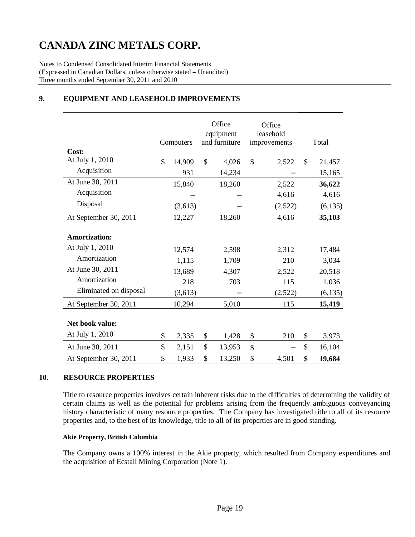Notes to Condensed Consolidated Interim Financial Statements (Expressed in Canadian Dollars, unless otherwise stated – Unaudited) Three months ended September 30, 2011 and 2010

|                                    | Computers    |    | Office<br>equipment<br>and furniture | Office<br>leasehold<br>improvements |         | Total        |
|------------------------------------|--------------|----|--------------------------------------|-------------------------------------|---------|--------------|
| Cost:                              |              |    |                                      |                                     |         |              |
| At July 1, 2010                    | \$<br>14,909 | \$ | 4,026                                | \$                                  | 2,522   | \$<br>21,457 |
| Acquisition                        | 931          |    | 14,234                               |                                     |         | 15,165       |
| At June 30, 2011                   | 15,840       |    | 18,260                               |                                     | 2,522   | 36,622       |
| Acquisition                        |              |    |                                      |                                     | 4,616   | 4,616        |
| Disposal                           | (3,613)      |    |                                      |                                     | (2,522) | (6, 135)     |
| At September 30, 2011              | 12,227       |    | 18,260                               |                                     | 4,616   | 35,103       |
| <b>Amortization:</b>               |              |    |                                      |                                     |         |              |
| At July 1, 2010                    | 12,574       |    | 2,598                                |                                     | 2,312   | 17,484       |
| Amortization                       | 1,115        |    | 1,709                                |                                     | 210     | 3,034        |
| At June 30, 2011                   | 13,689       |    | 4,307                                |                                     | 2,522   | 20,518       |
| Amortization                       | 218          |    | 703                                  |                                     | 115     | 1,036        |
| Eliminated on disposal             | (3,613)      |    |                                      |                                     | (2,522) | (6, 135)     |
| At September 30, 2011              | 10,294       |    | 5,010                                |                                     | 115     | 15,419       |
| Net book value:<br>At July 1, 2010 | \$<br>2,335  | \$ | 1,428                                | \$                                  | 210     | \$<br>3,973  |
| At June 30, 2011                   | \$<br>2,151  | \$ | 13,953                               | \$                                  |         | \$<br>16,104 |
| At September 30, 2011              | \$<br>1,933  | \$ | 13,250                               | \$                                  | 4,501   | \$<br>19,684 |

## **9. EQUIPMENT AND LEASEHOLD IMPROVEMENTS**

### **10. RESOURCE PROPERTIES**

Title to resource properties involves certain inherent risks due to the difficulties of determining the validity of certain claims as well as the potential for problems arising from the frequently ambiguous conveyancing history characteristic of many resource properties. The Company has investigated title to all of its resource properties and, to the best of its knowledge, title to all of its properties are in good standing.

### **Akie Property, British Columbia**

The Company owns a 100% interest in the Akie property, which resulted from Company expenditures and the acquisition of Ecstall Mining Corporation (Note 1).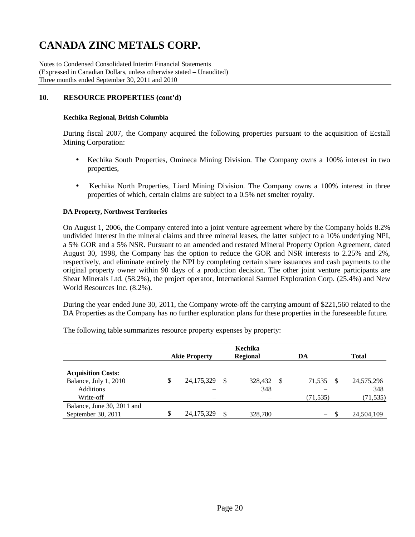Notes to Condensed Consolidated Interim Financial Statements (Expressed in Canadian Dollars, unless otherwise stated – Unaudited) Three months ended September 30, 2011 and 2010

### **10. RESOURCE PROPERTIES (cont'd)**

#### **Kechika Regional, British Columbia**

During fiscal 2007, the Company acquired the following properties pursuant to the acquisition of Ecstall Mining Corporation:

- Kechika South Properties, Omineca Mining Division. The Company owns a 100% interest in two properties,
- Kechika North Properties, Liard Mining Division. The Company owns a 100% interest in three properties of which, certain claims are subject to a 0.5% net smelter royalty.

### **DA Property, Northwest Territories**

On August 1, 2006, the Company entered into a joint venture agreement where by the Company holds 8.2% undivided interest in the mineral claims and three mineral leases, the latter subject to a 10% underlying NPI, a 5% GOR and a 5% NSR. Pursuant to an amended and restated Mineral Property Option Agreement, dated August 30, 1998, the Company has the option to reduce the GOR and NSR interests to 2.25% and 2%, respectively, and eliminate entirely the NPI by completing certain share issuances and cash payments to the original property owner within 90 days of a production decision. The other joint venture participants are Shear Minerals Ltd. (58.2%), the project operator, International Samuel Exploration Corp. (25.4%) and New World Resources Inc. (8.2%).

During the year ended June 30, 2011, the Company wrote-off the carrying amount of \$221,560 related to the DA Properties as the Company has no further exploration plans for these properties in the foreseeable future.

| Kechika                    |    |                      |     |                 |  |                                 |          |              |
|----------------------------|----|----------------------|-----|-----------------|--|---------------------------------|----------|--------------|
|                            |    | <b>Akie Property</b> |     | <b>Regional</b> |  | DA                              |          | <b>Total</b> |
|                            |    |                      |     |                 |  |                                 |          |              |
| <b>Acquisition Costs:</b>  |    |                      |     |                 |  |                                 |          |              |
| Balance, July 1, 2010      | \$ | 24, 175, 329         | \$. | 328,432 \$      |  | 71,535                          | <b>S</b> | 24,575,296   |
| Additions                  |    |                      |     | 348             |  |                                 |          | 348          |
| Write-off                  |    |                      |     |                 |  | (71, 535)                       |          | (71, 535)    |
| Balance, June 30, 2011 and |    |                      |     |                 |  |                                 |          |              |
| September 30, 2011         | \$ | 24, 175, 329         |     | 328,780         |  | $\hspace{0.1mm}-\hspace{0.1mm}$ |          | 24,504,109   |

The following table summarizes resource property expenses by property: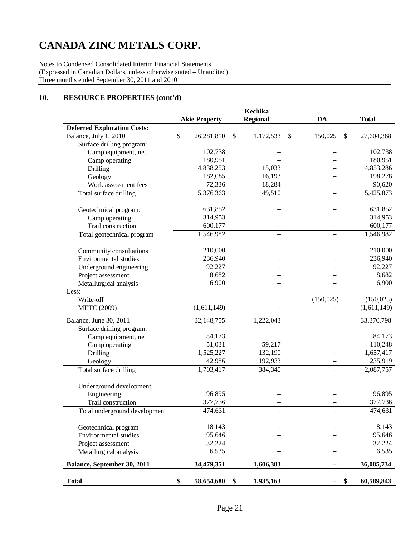Notes to Condensed Consolidated Interim Financial Statements (Expressed in Canadian Dollars, unless otherwise stated – Unaudited) Three months ended September 30, 2011 and 2010

## **10. RESOURCE PROPERTIES (cont'd)**

|                                    |                      | Kechika         |                          |                  |
|------------------------------------|----------------------|-----------------|--------------------------|------------------|
|                                    | <b>Akie Property</b> | <b>Regional</b> | DA                       | <b>Total</b>     |
| <b>Deferred Exploration Costs:</b> |                      |                 |                          |                  |
| Balance, July 1, 2010              | \$<br>26,281,810     | \$<br>1,172,533 | \$<br>150,025            | \$<br>27,604,368 |
| Surface drilling program:          |                      |                 |                          |                  |
| Camp equipment, net                | 102,738              |                 |                          | 102,738          |
| Camp operating                     | 180,951              |                 |                          | 180,951          |
| Drilling                           | 4,838,253            | 15,033          |                          | 4,853,286        |
| Geology                            | 182,085              | 16,193          |                          | 198,278          |
| Work assessment fees               | 72,336               | 18,284          |                          | 90,620           |
| Total surface drilling             | 5,376,363            | 49,510          |                          | 5,425,873        |
|                                    | 631,852              |                 |                          | 631,852          |
| Geotechnical program:              | 314,953              |                 |                          | 314,953          |
| Camp operating                     |                      |                 |                          |                  |
| Trail construction                 | 600,177              |                 |                          | 600,177          |
| Total geotechnical program         | 1,546,982            |                 | $\overline{\phantom{0}}$ | 1,546,982        |
| Community consultations            | 210,000              |                 |                          | 210,000          |
| Environmental studies              | 236,940              |                 |                          | 236,940          |
| Underground engineering            | 92,227               |                 |                          | 92,227           |
| Project assessment                 | 8,682                |                 |                          | 8,682            |
| Metallurgical analysis             | 6,900                |                 |                          | 6,900            |
| Less:                              |                      |                 |                          |                  |
| Write-off                          |                      |                 | (150, 025)               | (150, 025)       |
| <b>METC</b> (2009)                 | (1,611,149)          |                 |                          | (1,611,149)      |
| Balance, June 30, 2011             | 32,148,755           | 1,222,043       |                          | 33,370,798       |
| Surface drilling program:          |                      |                 |                          |                  |
| Camp equipment, net                | 84,173               |                 |                          | 84,173           |
| Camp operating                     | 51,031               | 59,217          |                          | 110,248          |
| Drilling                           | 1,525,227            | 132,190         |                          | 1,657,417        |
| Geology                            | 42,986               | 192,933         |                          | 235,919          |
| Total surface drilling             | 1,703,417            | 384,340         |                          | 2,087,757        |
|                                    |                      |                 |                          |                  |
| Underground development:           |                      |                 |                          |                  |
| Engineering                        | 96,895               |                 |                          | 96,895           |
| Trail construction                 | 377,736              |                 |                          | 377,736          |
| Total underground development      | 474,631              |                 |                          | 474,631          |
| Geotechnical program               | 18,143               |                 |                          | 18,143           |
| Environmental studies              | 95,646               |                 |                          | 95,646           |
| Project assessment                 | 32,224               |                 |                          | 32,224           |
|                                    | 6,535                |                 |                          | 6,535            |
| Metallurgical analysis             |                      |                 |                          |                  |
| Balance, September 30, 2011        | 34,479,351           | 1,606,383       |                          | 36,085,734       |
| <b>Total</b>                       | \$<br>58,654,680     | \$<br>1,935,163 |                          | 60,589,843       |
|                                    |                      |                 |                          |                  |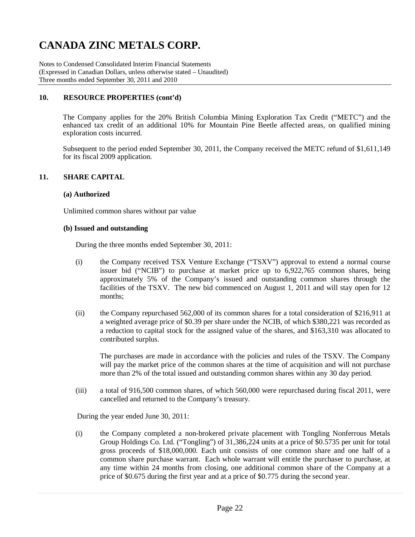Notes to Condensed Consolidated Interim Financial Statements (Expressed in Canadian Dollars, unless otherwise stated – Unaudited) Three months ended September 30, 2011 and 2010

### **10. RESOURCE PROPERTIES (cont'd)**

The Company applies for the 20% British Columbia Mining Exploration Tax Credit ("METC") and the enhanced tax credit of an additional 10% for Mountain Pine Beetle affected areas, on qualified mining exploration costs incurred.

Subsequent to the period ended September 30, 2011, the Company received the METC refund of \$1,611,149 for its fiscal 2009 application.

### **11. SHARE CAPITAL**

### **(a) Authorized**

Unlimited common shares without par value

#### **(b) Issued and outstanding**

During the three months ended September 30, 2011:

- (i) the Company received TSX Venture Exchange ("TSXV") approval to extend a normal course issuer bid ("NCIB") to purchase at market price up to 6,922,765 common shares, being approximately 5% of the Company's issued and outstanding common shares through the facilities of the TSXV. The new bid commenced on August 1, 2011 and will stay open for 12 months;
- (ii) the Company repurchased 562,000 of its common shares for a total consideration of \$216,911 at a weighted average price of \$0.39 per share under the NCIB, of which \$380,221 was recorded as a reduction to capital stock for the assigned value of the shares, and \$163,310 was allocated to contributed surplus.

The purchases are made in accordance with the policies and rules of the TSXV. The Company will pay the market price of the common shares at the time of acquisition and will not purchase more than 2% of the total issued and outstanding common shares within any 30 day period.

(iii) a total of 916,500 common shares, of which 560,000 were repurchased during fiscal 2011, were cancelled and returned to the Company's treasury.

During the year ended June 30, 2011:

(i) the Company completed a non-brokered private placement with Tongling Nonferrous Metals Group Holdings Co. Ltd. ("Tongling") of 31,386,224 units at a price of \$0.5735 per unit for total gross proceeds of \$18,000,000. Each unit consists of one common share and one half of a common share purchase warrant. Each whole warrant will entitle the purchaser to purchase, at any time within 24 months from closing, one additional common share of the Company at a price of \$0.675 during the first year and at a price of \$0.775 during the second year.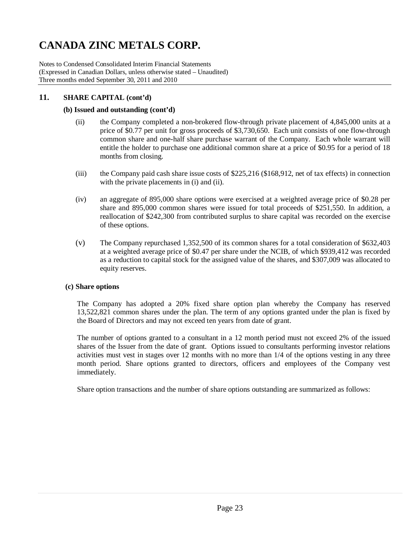Notes to Condensed Consolidated Interim Financial Statements (Expressed in Canadian Dollars, unless otherwise stated – Unaudited) Three months ended September 30, 2011 and 2010

### **11. SHARE CAPITAL (cont'd)**

### **(b) Issued and outstanding (cont'd)**

- (ii) the Company completed a non-brokered flow-through private placement of 4,845,000 units at a price of \$0.77 per unit for gross proceeds of \$3,730,650. Each unit consists of one flow-through common share and one-half share purchase warrant of the Company. Each whole warrant will entitle the holder to purchase one additional common share at a price of \$0.95 for a period of 18 months from closing.
- (iii) the Company paid cash share issue costs of \$225,216 (\$168,912, net of tax effects) in connection with the private placements in (i) and (ii).
- (iv) an aggregate of 895,000 share options were exercised at a weighted average price of \$0.28 per share and 895,000 common shares were issued for total proceeds of \$251,550. In addition, a reallocation of \$242,300 from contributed surplus to share capital was recorded on the exercise of these options.
- (v) The Company repurchased 1,352,500 of its common shares for a total consideration of \$632,403 at a weighted average price of \$0.47 per share under the NCIB, of which \$939,412 was recorded as a reduction to capital stock for the assigned value of the shares, and \$307,009 was allocated to equity reserves.

### **(c) Share options**

The Company has adopted a 20% fixed share option plan whereby the Company has reserved 13,522,821 common shares under the plan. The term of any options granted under the plan is fixed by the Board of Directors and may not exceed ten years from date of grant.

The number of options granted to a consultant in a 12 month period must not exceed 2% of the issued shares of the Issuer from the date of grant. Options issued to consultants performing investor relations activities must vest in stages over 12 months with no more than 1/4 of the options vesting in any three month period. Share options granted to directors, officers and employees of the Company vest immediately.

Share option transactions and the number of share options outstanding are summarized as follows: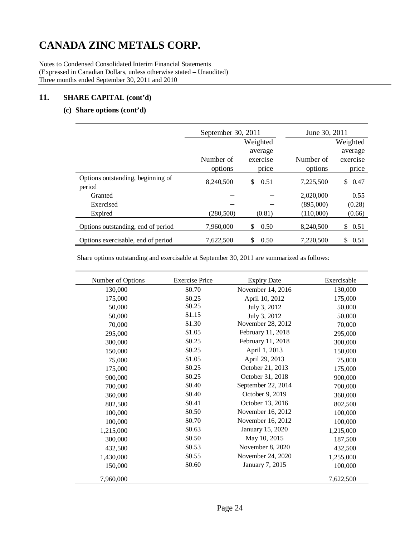Notes to Condensed Consolidated Interim Financial Statements (Expressed in Canadian Dollars, unless otherwise stated – Unaudited) Three months ended September 30, 2011 and 2010

## **11. SHARE CAPITAL (cont'd)**

### **(c) Share options (cont'd)**

|                                    | September 30, 2011 |             | June 30, 2011 |            |
|------------------------------------|--------------------|-------------|---------------|------------|
|                                    |                    | Weighted    |               | Weighted   |
|                                    |                    | average     |               | average    |
|                                    | Number of          | exercise    | Number of     | exercise   |
|                                    | options            | price       | options       | price      |
| Options outstanding, beginning of  | 8,240,500          | 0.51<br>\$. | 7,225,500     | 0.47<br>\$ |
| period                             |                    |             |               |            |
| Granted                            |                    |             | 2,020,000     | 0.55       |
| Exercised                          |                    |             | (895,000)     | (0.28)     |
| Expired                            | (280, 500)         | (0.81)      | (110,000)     | (0.66)     |
| Options outstanding, end of period | 7,960,000          | \$<br>0.50  | 8,240,500     | \$<br>0.51 |
| Options exercisable, end of period | 7,622,500          | \$<br>0.50  | 7,220,500     | \$<br>0.51 |

Share options outstanding and exercisable at September 30, 2011 are summarized as follows:

| Number of Options | <b>Exercise Price</b> | <b>Expiry Date</b> | Exercisable |
|-------------------|-----------------------|--------------------|-------------|
| 130,000           | \$0.70                | November 14, 2016  | 130,000     |
| 175,000           | \$0.25                | April 10, 2012     | 175,000     |
| 50,000            | \$0.25                | July 3, 2012       | 50,000      |
| 50,000            | \$1.15                | July 3, 2012       | 50,000      |
| 70,000            | \$1.30                | November 28, 2012  | 70,000      |
| 295,000           | \$1.05                | February 11, 2018  | 295,000     |
| 300,000           | \$0.25                | February 11, 2018  | 300,000     |
| 150,000           | \$0.25                | April 1, 2013      | 150,000     |
| 75,000            | \$1.05                | April 29, 2013     | 75,000      |
| 175,000           | \$0.25                | October 21, 2013   | 175,000     |
| 900,000           | \$0.25                | October 31, 2018   | 900,000     |
| 700,000           | \$0.40                | September 22, 2014 | 700,000     |
| 360,000           | \$0.40                | October 9, 2019    | 360,000     |
| 802,500           | \$0.41                | October 13, 2016   | 802,500     |
| 100,000           | \$0.50                | November 16, 2012  | 100,000     |
| 100,000           | \$0.70                | November 16, 2012  | 100,000     |
| 1,215,000         | \$0.63                | January 15, 2020   | 1,215,000   |
| 300,000           | \$0.50                | May 10, 2015       | 187,500     |
| 432,500           | \$0.53                | November 8, 2020   | 432,500     |
| 1,430,000         | \$0.55                | November 24, 2020  | 1,255,000   |
| 150,000           | \$0.60                | January 7, 2015    | 100,000     |
| 7,960,000         |                       |                    | 7,622,500   |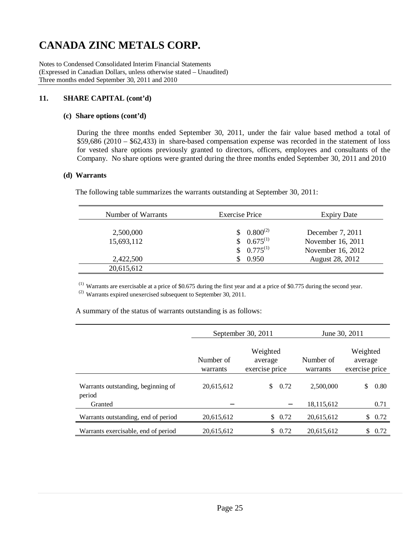Notes to Condensed Consolidated Interim Financial Statements (Expressed in Canadian Dollars, unless otherwise stated – Unaudited) Three months ended September 30, 2011 and 2010

### **11. SHARE CAPITAL (cont'd)**

### **(c) Share options (cont'd)**

During the three months ended September 30, 2011, under the fair value based method a total of \$59,686 (2010 – \$62,433) in share-based compensation expense was recorded in the statement of loss for vested share options previously granted to directors, officers, employees and consultants of the Company. No share options were granted during the three months ended September 30, 2011 and 2010

### **(d) Warrants**

The following table summarizes the warrants outstanding at September 30, 2011:

| Number of Warrants | <b>Exercise Price</b> | <b>Expiry Date</b> |
|--------------------|-----------------------|--------------------|
| 2,500,000          | $0.800^{(2)}$         | December 7, 2011   |
| 15,693,112         | $0.675^{(1)}$         | November 16, 2011  |
|                    | $$0.775^{(1)}$$       | November 16, 2012  |
| 2,422,500          | 0.950                 | August 28, 2012    |
| 20,615,612         |                       |                    |

(1) Warrants are exercisable at a price of \$0.675 during the first year and at a price of \$0.775 during the second year. (2) Warrants expired unexercised subsequent to September 30, 2011.

A summary of the status of warrants outstanding is as follows:

|                                              |                       | September 30, 2011                    | June 30, 2011         |                                       |  |  |
|----------------------------------------------|-----------------------|---------------------------------------|-----------------------|---------------------------------------|--|--|
|                                              | Number of<br>warrants | Weighted<br>average<br>exercise price | Number of<br>warrants | Weighted<br>average<br>exercise price |  |  |
| Warrants outstanding, beginning of<br>period | 20,615,612            | 0.72<br>\$.                           | 2.500,000             | 0.80<br>\$                            |  |  |
| Granted                                      |                       |                                       | 18,115,612            | 0.71                                  |  |  |
| Warrants outstanding, end of period          | 20,615,612            | 0.72<br>S.                            | 20,615,612            | 0.72<br>\$                            |  |  |
| Warrants exercisable, end of period          | 20.615.612            | 0.72<br>\$.                           | 20,615,612            | \$.<br>0.72                           |  |  |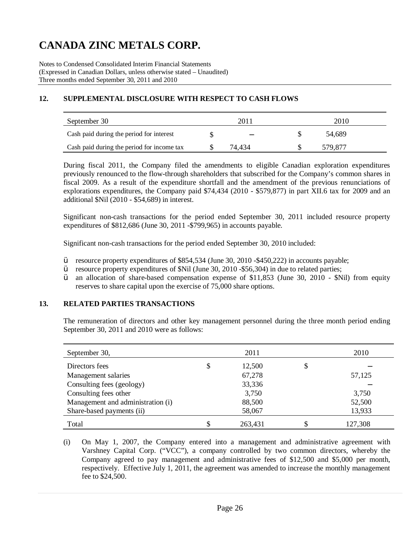Notes to Condensed Consolidated Interim Financial Statements (Expressed in Canadian Dollars, unless otherwise stated – Unaudited) Three months ended September 30, 2011 and 2010

## **12. SUPPLEMENTAL DISCLOSURE WITH RESPECT TO CASH FLOWS**

| September 30                               | 201 |        |  | 2010    |  |  |  |
|--------------------------------------------|-----|--------|--|---------|--|--|--|
| Cash paid during the period for interest   |     |        |  | 54.689  |  |  |  |
| Cash paid during the period for income tax |     | 74.434 |  | 579 877 |  |  |  |

During fiscal 2011, the Company filed the amendments to eligible Canadian exploration expenditures previously renounced to the flow-through shareholders that subscribed for the Company's common shares in fiscal 2009. As a result of the expenditure shortfall and the amendment of the previous renunciations of explorations expenditures, the Company paid \$74,434 (2010 - \$579,877) in part XII.6 tax for 2009 and an additional \$Nil (2010 - \$54,689) in interest.

Significant non-cash transactions for the period ended September 30, 2011 included resource property expenditures of \$812,686 (June 30, 2011 -\$799,965) in accounts payable.

Significant non-cash transactions for the period ended September 30, 2010 included:

- Ÿ resource property expenditures of \$854,534 (June 30, 2010 -\$450,222) in accounts payable;
- Ÿ resource property expenditures of \$Nil (June 30, 2010 -\$56,304) in due to related parties;
- $\ddot{V}$  an allocation of share-based compensation expense of \$11,853 (June 30, 2010 \$Nil) from equity reserves to share capital upon the exercise of 75,000 share options.

### **13. RELATED PARTIES TRANSACTIONS**

The remuneration of directors and other key management personnel during the three month period ending September 30, 2011 and 2010 were as follows:

| September 30,                     | 2011         | 2010    |
|-----------------------------------|--------------|---------|
| Directors fees                    | \$<br>12,500 | \$      |
| Management salaries               | 67,278       | 57,125  |
| Consulting fees (geology)         | 33,336       |         |
| Consulting fees other             | 3,750        | 3,750   |
| Management and administration (i) | 88,500       | 52,500  |
| Share-based payments (ii)         | 58,067       | 13,933  |
| Total                             | 263,431      | 127,308 |

(i) On May 1, 2007, the Company entered into a management and administrative agreement with Varshney Capital Corp. ("VCC"), a company controlled by two common directors, whereby the Company agreed to pay management and administrative fees of \$12,500 and \$5,000 per month, respectively. Effective July 1, 2011, the agreement was amended to increase the monthly management fee to \$24,500.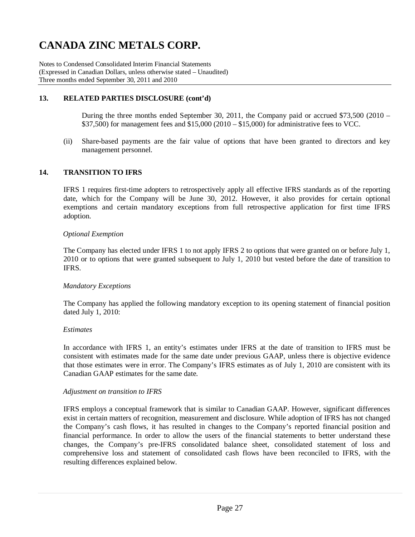Notes to Condensed Consolidated Interim Financial Statements (Expressed in Canadian Dollars, unless otherwise stated – Unaudited) Three months ended September 30, 2011 and 2010

### **13. RELATED PARTIES DISCLOSURE (cont'd)**

During the three months ended September 30, 2011, the Company paid or accrued \$73,500 (2010 – \$37,500) for management fees and \$15,000 (2010 – \$15,000) for administrative fees to VCC.

(ii) Share-based payments are the fair value of options that have been granted to directors and key management personnel.

### **14. TRANSITION TO IFRS**

IFRS 1 requires first-time adopters to retrospectively apply all effective IFRS standards as of the reporting date, which for the Company will be June 30, 2012. However, it also provides for certain optional exemptions and certain mandatory exceptions from full retrospective application for first time IFRS adoption.

### *Optional Exemption*

The Company has elected under IFRS 1 to not apply IFRS 2 to options that were granted on or before July 1, 2010 or to options that were granted subsequent to July 1, 2010 but vested before the date of transition to IFRS.

### *Mandatory Exceptions*

The Company has applied the following mandatory exception to its opening statement of financial position dated July 1, 2010:

### *Estimates*

In accordance with IFRS 1, an entity's estimates under IFRS at the date of transition to IFRS must be consistent with estimates made for the same date under previous GAAP, unless there is objective evidence that those estimates were in error. The Company's IFRS estimates as of July 1, 2010 are consistent with its Canadian GAAP estimates for the same date.

### *Adjustment on transition to IFRS*

IFRS employs a conceptual framework that is similar to Canadian GAAP. However, significant differences exist in certain matters of recognition, measurement and disclosure. While adoption of IFRS has not changed the Company's cash flows, it has resulted in changes to the Company's reported financial position and financial performance. In order to allow the users of the financial statements to better understand these changes, the Company's pre-IFRS consolidated balance sheet, consolidated statement of loss and comprehensive loss and statement of consolidated cash flows have been reconciled to IFRS, with the resulting differences explained below.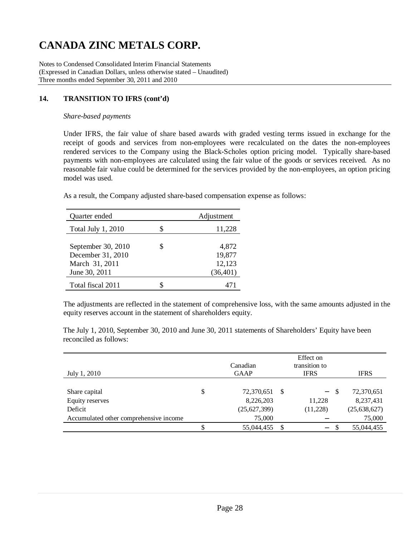Notes to Condensed Consolidated Interim Financial Statements (Expressed in Canadian Dollars, unless otherwise stated – Unaudited) Three months ended September 30, 2011 and 2010

## **14. TRANSITION TO IFRS (cont'd)**

### *Share-based payments*

Under IFRS, the fair value of share based awards with graded vesting terms issued in exchange for the receipt of goods and services from non-employees were recalculated on the dates the non-employees rendered services to the Company using the Black-Scholes option pricing model. Typically share-based payments with non-employees are calculated using the fair value of the goods or services received. As no reasonable fair value could be determined for the services provided by the non-employees, an option pricing model was used.

As a result, the Company adjusted share-based compensation expense as follows:

| Quarter ended                                                              |   | Adjustment                             |
|----------------------------------------------------------------------------|---|----------------------------------------|
| <b>Total July 1, 2010</b>                                                  |   | 11,228                                 |
| September 30, 2010<br>December 31, 2010<br>March 31, 2011<br>June 30, 2011 | S | 4,872<br>19,877<br>12,123<br>(36, 401) |
| Total fiscal 2011                                                          |   |                                        |

The adjustments are reflected in the statement of comprehensive loss, with the same amounts adjusted in the equity reserves account in the statement of shareholders equity.

The July 1, 2010, September 30, 2010 and June 30, 2011 statements of Shareholders' Equity have been reconciled as follows:

| July 1, 2010                           | Canadian<br><b>GAAP</b> |   | Effect on<br>transition to<br><b>IFRS</b> |    | <b>IFRS</b>    |
|----------------------------------------|-------------------------|---|-------------------------------------------|----|----------------|
|                                        |                         |   |                                           |    |                |
| Share capital                          | \$<br>72,370,651        | S | $\sim$                                    | -S | 72,370,651     |
| Equity reserves                        | 8,226,203               |   | 11,228                                    |    | 8,237,431      |
| Deficit                                | (25,627,399)            |   | (11,228)                                  |    | (25, 638, 627) |
| Accumulated other comprehensive income | 75,000                  |   |                                           |    | 75,000         |
|                                        | 55,044,455              | S | $\qquad \qquad -$                         |    | 55,044,455     |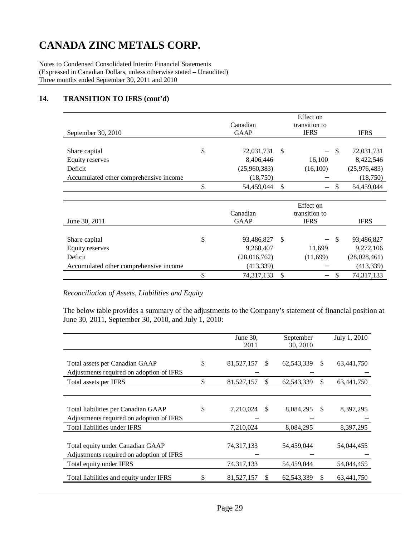Notes to Condensed Consolidated Interim Financial Statements (Expressed in Canadian Dollars, unless otherwise stated – Unaudited) Three months ended September 30, 2011 and 2010

### **14. TRANSITION TO IFRS (cont'd)**

| September 30, 2010                     | Canadian<br><b>GAAP</b> |   | Effect on<br>transition to<br><b>IFRS</b> |     | <b>IFRS</b>  |
|----------------------------------------|-------------------------|---|-------------------------------------------|-----|--------------|
| Share capital                          | \$<br>72,031,731        | S | $\sim$ $-$                                | -\$ | 72,031,731   |
| Equity reserves                        | 8,406,446               |   | 16,100                                    |     | 8,422,546    |
| Deficit                                | (25,960,383)            |   | (16,100)                                  |     | (25,976,483) |
| Accumulated other comprehensive income | (18,750)                |   |                                           |     | (18, 750)    |
|                                        | \$<br>54,459,044        | S | $\qquad \qquad -$                         |     | 54,459,044   |

| June 30, 2011                          | Canadian<br><b>GAAP</b> |    | Effect on<br>transition to<br><b>IFRS</b> |    | <b>IFRS</b>  |
|----------------------------------------|-------------------------|----|-------------------------------------------|----|--------------|
| Share capital                          | \$<br>93,486,827        | -S | $ \,$                                     | -S | 93,486,827   |
| Equity reserves                        | 9,260,407               |    | 11,699                                    |    | 9,272,106    |
| Deficit                                | (28,016,762)            |    | (11,699)                                  |    | (28,028,461) |
| Accumulated other comprehensive income | (413, 339)              |    |                                           |    | (413, 339)   |
|                                        | \$<br>74, 317, 133      | S  | $\qquad \qquad -$                         |    | 74,317,133   |

### *Reconciliation of Assets, Liabilities and Equity*

The below table provides a summary of the adjustments to the Company's statement of financial position at June 30, 2011, September 30, 2010, and July 1, 2010:

|                                                                                 | June 30,<br>2011 |               | September<br>30, 2010 |               | July 1, 2010 |
|---------------------------------------------------------------------------------|------------------|---------------|-----------------------|---------------|--------------|
| Total assets per Canadian GAAP<br>Adjustments required on adoption of IFRS      | \$<br>81,527,157 | \$            | 62,543,339            | <sup>\$</sup> | 63,441,750   |
| Total assets per IFRS                                                           | \$<br>81,527,157 | \$            | 62,543,339            | <sup>\$</sup> | 63,441,750   |
|                                                                                 |                  |               |                       |               |              |
| Total liabilities per Canadian GAAP<br>Adjustments required on adoption of IFRS | \$<br>7,210,024  | <sup>\$</sup> | 8,084,295             | <sup>\$</sup> | 8,397,295    |
| Total liabilities under IFRS                                                    | 7,210,024        |               | 8,084,295             |               | 8,397,295    |
| Total equity under Canadian GAAP<br>Adjustments required on adoption of IFRS    | 74,317,133       |               | 54,459,044            |               | 54,044,455   |
| Total equity under IFRS                                                         | 74,317,133       |               | 54,459,044            |               | 54,044,455   |
| Total liabilities and equity under IFRS                                         | \$<br>81,527,157 | S             | 62,543,339            | <sup>\$</sup> | 63,441,750   |